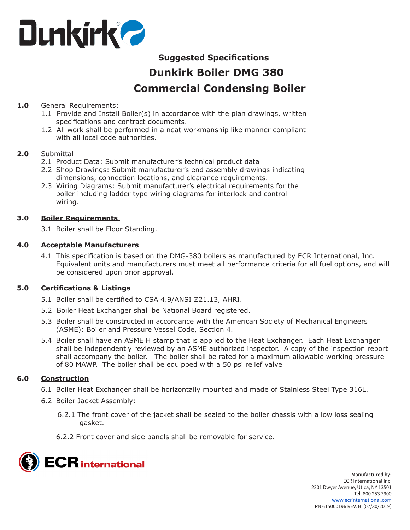

# **Suggested Specifications Dunkirk Boiler DMG 380 Commercial Condensing Boiler**

## **1.0** General Requirements:

- 1.1 Provide and Install Boiler(s) in accordance with the plan drawings, written specifications and contract documents.
- 1.2 All work shall be performed in a neat workmanship like manner compliant with all local code authorities.

## **2.0** Submittal

- 2.1 Product Data: Submit manufacturer's technical product data
- 2.2 Shop Drawings: Submit manufacturer's end assembly drawings indicating dimensions, connection locations, and clearance requirements.
- 2.3 Wiring Diagrams: Submit manufacturer's electrical requirements for the boiler including ladder type wiring diagrams for interlock and control wiring.

#### **3.0 Boiler Requirements**

3.1 Boiler shall be Floor Standing.

## **4.0 Acceptable Manufacturers**

4.1 This specification is based on the DMG-380 boilers as manufactured by ECR International, Inc. Equivalent units and manufacturers must meet all performance criteria for all fuel options, and will be considered upon prior approval.

## **5.0 Certifications & Listings**

- 5.1 Boiler shall be certified to CSA 4.9/ANSI Z21.13, AHRI.
- 5.2 Boiler Heat Exchanger shall be National Board registered.
- 5.3 Boiler shall be constructed in accordance with the American Society of Mechanical Engineers (ASME): Boiler and Pressure Vessel Code, Section 4.
- 5.4 Boiler shall have an ASME H stamp that is applied to the Heat Exchanger. Each Heat Exchanger shall be independently reviewed by an ASME authorized inspector. A copy of the inspection report shall accompany the boiler. The boiler shall be rated for a maximum allowable working pressure of 80 MAWP. The boiler shall be equipped with a 50 psi relief valve

## **6.0 Construction**

- 6.1 Boiler Heat Exchanger shall be horizontally mounted and made of Stainless Steel Type 316L.
- 6.2 Boiler Jacket Assembly:
	- 6.2.1 The front cover of the jacket shall be sealed to the boiler chassis with a low loss sealing gasket.
	- 6.2.2 Front cover and side panels shall be removable for service.

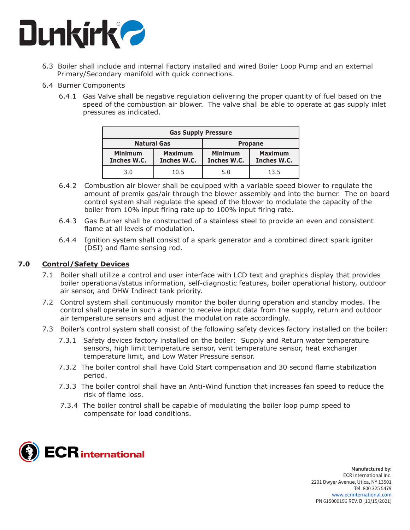

- 6.3 Boiler shall include and internal Factory installed and wired Boiler Loop Pump and an external Primary/Secondary manifold with quick connections.
- 6.4 Burner Components
	- 6.4.1 Gas Valve shall be negative regulation delivering the proper quantity of fuel based on the speed of the combustion air blower. The valve shall be able to operate at gas supply inlet pressures as indicated.

| <b>Gas Supply Pressure</b>    |                               |                               |                               |
|-------------------------------|-------------------------------|-------------------------------|-------------------------------|
| <b>Natural Gas</b>            |                               | <b>Propane</b>                |                               |
| <b>Minimum</b><br>Inches W.C. | <b>Maximum</b><br>Inches W.C. | <b>Minimum</b><br>Inches W.C. | <b>Maximum</b><br>Inches W.C. |
| 3.0                           | 10.5                          | 5.0                           | 13.5                          |

- 6.4.2 Combustion air blower shall be equipped with a variable speed blower to regulate the amount of premix gas/air through the blower assembly and into the burner. The on board control system shall regulate the speed of the blower to modulate the capacity of the boiler from 10% input firing rate up to 100% input firing rate.
- 6.4.3 Gas Burner shall be constructed of a stainless steel to provide an even and consistent flame at all levels of modulation.
- 6.4.4 Ignition system shall consist of a spark generator and a combined direct spark igniter (DSI) and flame sensing rod.

## **7.0 Control/Safety Devices**

- 7.1 Boiler shall utilize a control and user interface with LCD text and graphics display that provides boiler operational/status information, self-diagnostic features, boiler operational history, outdoor air sensor, and DHW Indirect tank priority.
- 7.2 Control system shall continuously monitor the boiler during operation and standby modes. The control shall operate in such a manor to receive input data from the supply, return and outdoor air temperature sensors and adjust the modulation rate accordingly.
- 7.3 Boiler's control system shall consist of the following safety devices factory installed on the boiler:
	- 7.3.1 Safety devices factory installed on the boiler: Supply and Return water temperature sensors, high limit temperature sensor, vent temperature sensor, heat exchanger temperature limit, and Low Water Pressure sensor.
	- 7.3.2 The boiler control shall have Cold Start compensation and 30 second flame stabilization period.
	- 7.3.3 The boiler control shall have an Anti-Wind function that increases fan speed to reduce the risk of flame loss.
	- 7.3.4 The boiler control shall be capable of modulating the boiler loop pump speed to compensate for load conditions.

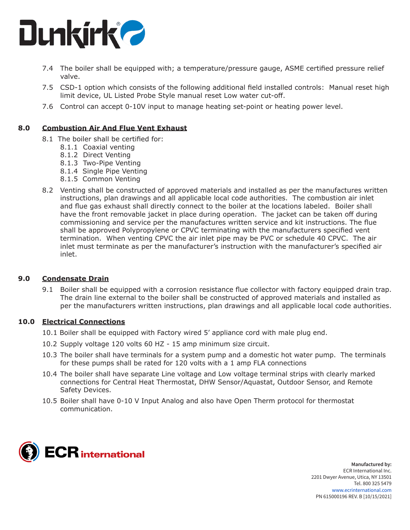

- 7.4 The boiler shall be equipped with; a temperature/pressure gauge, ASME certified pressure relief valve.
- 7.5 CSD-1 option which consists of the following additional field installed controls: Manual reset high limit device, UL Listed Probe Style manual reset Low water cut-off.
- 7.6 Control can accept 0-10V input to manage heating set-point or heating power level.

#### **8.0 Combustion Air And Flue Vent Exhaust**

- 8.1 The boiler shall be certified for:
	- 8.1.1 Coaxial venting
	- 8.1.2 Direct Venting
	- 8.1.3 Two-Pipe Venting
	- 8.1.4 Single Pipe Venting
	- 8.1.5 Common Venting
- 8.2 Venting shall be constructed of approved materials and installed as per the manufactures written instructions, plan drawings and all applicable local code authorities. The combustion air inlet and flue gas exhaust shall directly connect to the boiler at the locations labeled. Boiler shall have the front removable jacket in place during operation. The jacket can be taken off during commissioning and service per the manufactures written service and kit instructions. The flue shall be approved Polypropylene or CPVC terminating with the manufacturers specified vent termination. When venting CPVC the air inlet pipe may be PVC or schedule 40 CPVC. The air inlet must terminate as per the manufacturer's instruction with the manufacturer's specified air inlet.

#### **9.0 Condensate Drain**

9.1 Boiler shall be equipped with a corrosion resistance flue collector with factory equipped drain trap. The drain line external to the boiler shall be constructed of approved materials and installed as per the manufacturers written instructions, plan drawings and all applicable local code authorities.

#### **10.0 Electrical Connections**

- 10.1 Boiler shall be equipped with Factory wired 5' appliance cord with male plug end.
- 10.2 Supply voltage 120 volts 60 HZ 15 amp minimum size circuit.
- 10.3 The boiler shall have terminals for a system pump and a domestic hot water pump. The terminals for these pumps shall be rated for 120 volts with a 1 amp FLA connections
- 10.4 The boiler shall have separate Line voltage and Low voltage terminal strips with clearly marked connections for Central Heat Thermostat, DHW Sensor/Aquastat, Outdoor Sensor, and Remote Safety Devices.
- 10.5 Boiler shall have 0-10 V Input Analog and also have Open Therm protocol for thermostat communication.



**Manufactured by:** ECR International Inc. 2201 Dwyer Avenue, Utica, NY 13501 Tel. 800 325 5479 www.ecrinternational.com PN 615000196 REV. B [10/15/2021]